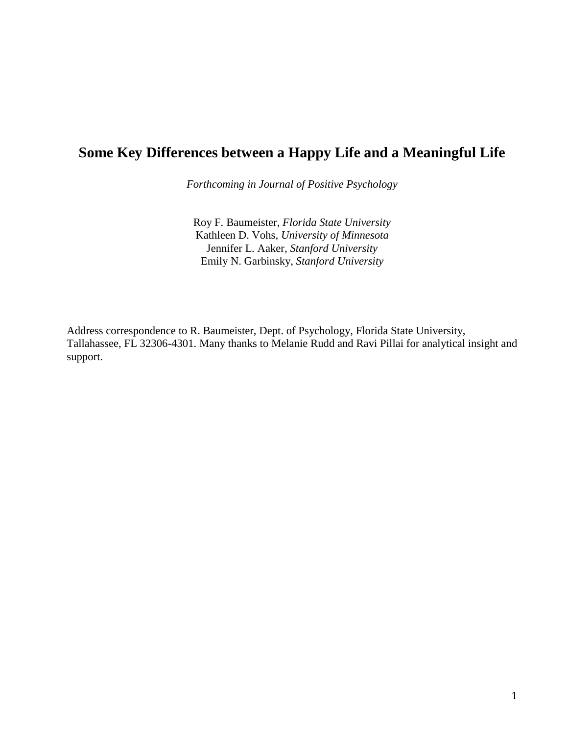# **Some Key Differences between a Happy Life and a Meaningful Life**

*Forthcoming in Journal of Positive Psychology*

Roy F. Baumeister, *Florida State University* Kathleen D. Vohs, *University of Minnesota* Jennifer L. Aaker, *Stanford University* Emily N. Garbinsky, *Stanford University*

Address correspondence to R. Baumeister, Dept. of Psychology, Florida State University, Tallahassee, FL 32306-4301. Many thanks to Melanie Rudd and Ravi Pillai for analytical insight and support.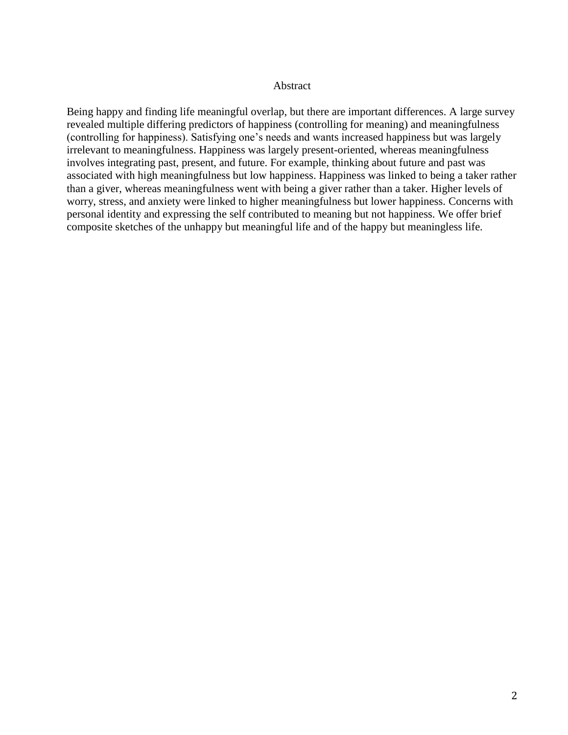## Abstract

Being happy and finding life meaningful overlap, but there are important differences. A large survey revealed multiple differing predictors of happiness (controlling for meaning) and meaningfulness (controlling for happiness). Satisfying one's needs and wants increased happiness but was largely irrelevant to meaningfulness. Happiness was largely present-oriented, whereas meaningfulness involves integrating past, present, and future. For example, thinking about future and past was associated with high meaningfulness but low happiness. Happiness was linked to being a taker rather than a giver, whereas meaningfulness went with being a giver rather than a taker. Higher levels of worry, stress, and anxiety were linked to higher meaningfulness but lower happiness. Concerns with personal identity and expressing the self contributed to meaning but not happiness. We offer brief composite sketches of the unhappy but meaningful life and of the happy but meaningless life.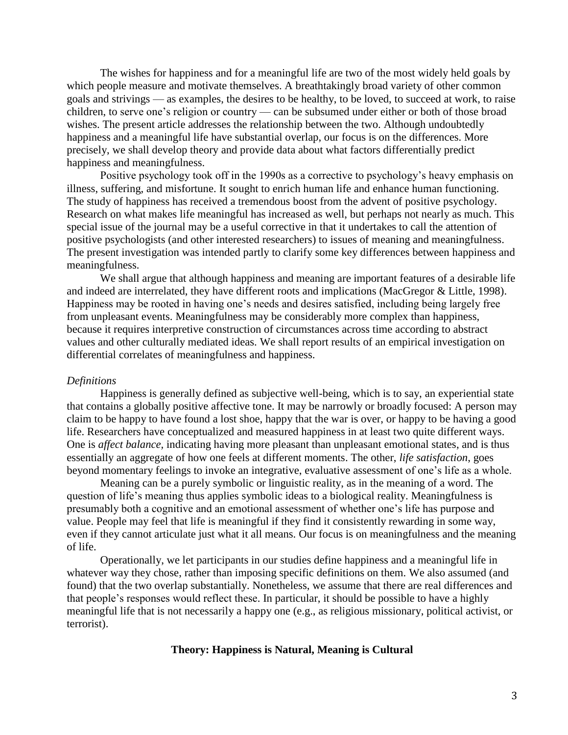The wishes for happiness and for a meaningful life are two of the most widely held goals by which people measure and motivate themselves. A breathtakingly broad variety of other common goals and strivings — as examples, the desires to be healthy, to be loved, to succeed at work, to raise children, to serve one's religion or country — can be subsumed under either or both of those broad wishes. The present article addresses the relationship between the two. Although undoubtedly happiness and a meaningful life have substantial overlap, our focus is on the differences. More precisely, we shall develop theory and provide data about what factors differentially predict happiness and meaningfulness.

Positive psychology took off in the 1990s as a corrective to psychology's heavy emphasis on illness, suffering, and misfortune. It sought to enrich human life and enhance human functioning. The study of happiness has received a tremendous boost from the advent of positive psychology. Research on what makes life meaningful has increased as well, but perhaps not nearly as much. This special issue of the journal may be a useful corrective in that it undertakes to call the attention of positive psychologists (and other interested researchers) to issues of meaning and meaningfulness. The present investigation was intended partly to clarify some key differences between happiness and meaningfulness.

We shall argue that although happiness and meaning are important features of a desirable life and indeed are interrelated, they have different roots and implications (MacGregor & Little, 1998). Happiness may be rooted in having one's needs and desires satisfied, including being largely free from unpleasant events. Meaningfulness may be considerably more complex than happiness, because it requires interpretive construction of circumstances across time according to abstract values and other culturally mediated ideas. We shall report results of an empirical investigation on differential correlates of meaningfulness and happiness.

### *Definitions*

Happiness is generally defined as subjective well-being, which is to say, an experiential state that contains a globally positive affective tone. It may be narrowly or broadly focused: A person may claim to be happy to have found a lost shoe, happy that the war is over, or happy to be having a good life. Researchers have conceptualized and measured happiness in at least two quite different ways. One is *affect balance,* indicating having more pleasant than unpleasant emotional states, and is thus essentially an aggregate of how one feels at different moments. The other, *life satisfaction*, goes beyond momentary feelings to invoke an integrative, evaluative assessment of one's life as a whole.

Meaning can be a purely symbolic or linguistic reality, as in the meaning of a word. The question of life's meaning thus applies symbolic ideas to a biological reality. Meaningfulness is presumably both a cognitive and an emotional assessment of whether one's life has purpose and value. People may feel that life is meaningful if they find it consistently rewarding in some way, even if they cannot articulate just what it all means. Our focus is on meaningfulness and the meaning of life.

Operationally, we let participants in our studies define happiness and a meaningful life in whatever way they chose, rather than imposing specific definitions on them. We also assumed (and found) that the two overlap substantially. Nonetheless, we assume that there are real differences and that people's responses would reflect these. In particular, it should be possible to have a highly meaningful life that is not necessarily a happy one (e.g., as religious missionary, political activist, or terrorist).

## **Theory: Happiness is Natural, Meaning is Cultural**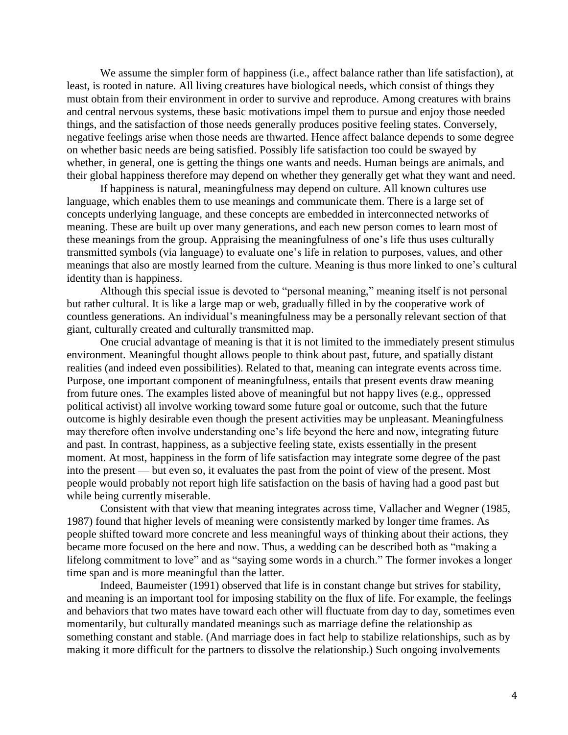We assume the simpler form of happiness (i.e., affect balance rather than life satisfaction), at least, is rooted in nature. All living creatures have biological needs, which consist of things they must obtain from their environment in order to survive and reproduce. Among creatures with brains and central nervous systems, these basic motivations impel them to pursue and enjoy those needed things, and the satisfaction of those needs generally produces positive feeling states. Conversely, negative feelings arise when those needs are thwarted. Hence affect balance depends to some degree on whether basic needs are being satisfied. Possibly life satisfaction too could be swayed by whether, in general, one is getting the things one wants and needs. Human beings are animals, and their global happiness therefore may depend on whether they generally get what they want and need.

If happiness is natural, meaningfulness may depend on culture. All known cultures use language, which enables them to use meanings and communicate them. There is a large set of concepts underlying language, and these concepts are embedded in interconnected networks of meaning. These are built up over many generations, and each new person comes to learn most of these meanings from the group. Appraising the meaningfulness of one's life thus uses culturally transmitted symbols (via language) to evaluate one's life in relation to purposes, values, and other meanings that also are mostly learned from the culture. Meaning is thus more linked to one's cultural identity than is happiness.

Although this special issue is devoted to "personal meaning," meaning itself is not personal but rather cultural. It is like a large map or web, gradually filled in by the cooperative work of countless generations. An individual's meaningfulness may be a personally relevant section of that giant, culturally created and culturally transmitted map.

One crucial advantage of meaning is that it is not limited to the immediately present stimulus environment. Meaningful thought allows people to think about past, future, and spatially distant realities (and indeed even possibilities). Related to that, meaning can integrate events across time. Purpose, one important component of meaningfulness, entails that present events draw meaning from future ones. The examples listed above of meaningful but not happy lives (e.g., oppressed political activist) all involve working toward some future goal or outcome, such that the future outcome is highly desirable even though the present activities may be unpleasant. Meaningfulness may therefore often involve understanding one's life beyond the here and now, integrating future and past. In contrast, happiness, as a subjective feeling state, exists essentially in the present moment. At most, happiness in the form of life satisfaction may integrate some degree of the past into the present — but even so, it evaluates the past from the point of view of the present. Most people would probably not report high life satisfaction on the basis of having had a good past but while being currently miserable.

Consistent with that view that meaning integrates across time, Vallacher and Wegner (1985, 1987) found that higher levels of meaning were consistently marked by longer time frames. As people shifted toward more concrete and less meaningful ways of thinking about their actions, they became more focused on the here and now. Thus, a wedding can be described both as "making a lifelong commitment to love" and as "saying some words in a church." The former invokes a longer time span and is more meaningful than the latter.

Indeed, Baumeister (1991) observed that life is in constant change but strives for stability, and meaning is an important tool for imposing stability on the flux of life. For example, the feelings and behaviors that two mates have toward each other will fluctuate from day to day, sometimes even momentarily, but culturally mandated meanings such as marriage define the relationship as something constant and stable. (And marriage does in fact help to stabilize relationships, such as by making it more difficult for the partners to dissolve the relationship.) Such ongoing involvements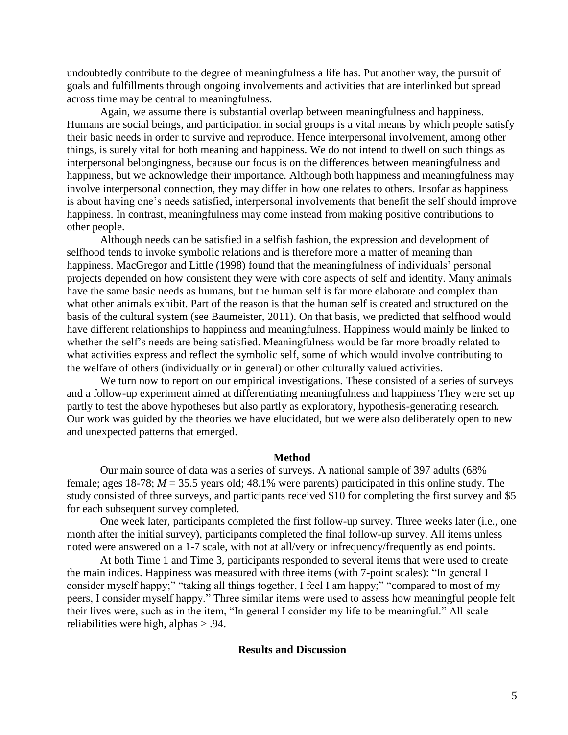undoubtedly contribute to the degree of meaningfulness a life has. Put another way, the pursuit of goals and fulfillments through ongoing involvements and activities that are interlinked but spread across time may be central to meaningfulness.

Again, we assume there is substantial overlap between meaningfulness and happiness. Humans are social beings, and participation in social groups is a vital means by which people satisfy their basic needs in order to survive and reproduce. Hence interpersonal involvement, among other things, is surely vital for both meaning and happiness. We do not intend to dwell on such things as interpersonal belongingness, because our focus is on the differences between meaningfulness and happiness, but we acknowledge their importance. Although both happiness and meaningfulness may involve interpersonal connection, they may differ in how one relates to others. Insofar as happiness is about having one's needs satisfied, interpersonal involvements that benefit the self should improve happiness. In contrast, meaningfulness may come instead from making positive contributions to other people.

Although needs can be satisfied in a selfish fashion, the expression and development of selfhood tends to invoke symbolic relations and is therefore more a matter of meaning than happiness. MacGregor and Little (1998) found that the meaningfulness of individuals' personal projects depended on how consistent they were with core aspects of self and identity. Many animals have the same basic needs as humans, but the human self is far more elaborate and complex than what other animals exhibit. Part of the reason is that the human self is created and structured on the basis of the cultural system (see Baumeister, 2011). On that basis, we predicted that selfhood would have different relationships to happiness and meaningfulness. Happiness would mainly be linked to whether the self's needs are being satisfied. Meaningfulness would be far more broadly related to what activities express and reflect the symbolic self, some of which would involve contributing to the welfare of others (individually or in general) or other culturally valued activities.

We turn now to report on our empirical investigations. These consisted of a series of surveys and a follow-up experiment aimed at differentiating meaningfulness and happiness They were set up partly to test the above hypotheses but also partly as exploratory, hypothesis-generating research. Our work was guided by the theories we have elucidated, but we were also deliberately open to new and unexpected patterns that emerged.

#### **Method**

Our main source of data was a series of surveys. A national sample of 397 adults (68% female; ages 18-78; *M* = 35.5 years old; 48.1% were parents) participated in this online study. The study consisted of three surveys, and participants received \$10 for completing the first survey and \$5 for each subsequent survey completed.

One week later, participants completed the first follow-up survey. Three weeks later (i.e., one month after the initial survey), participants completed the final follow-up survey. All items unless noted were answered on a 1-7 scale, with not at all/very or infrequency/frequently as end points.

At both Time 1 and Time 3, participants responded to several items that were used to create the main indices. Happiness was measured with three items (with 7-point scales): "In general I consider myself happy;" "taking all things together, I feel I am happy;" "compared to most of my peers, I consider myself happy." Three similar items were used to assess how meaningful people felt their lives were, such as in the item, "In general I consider my life to be meaningful." All scale reliabilities were high, alphas > .94.

#### **Results and Discussion**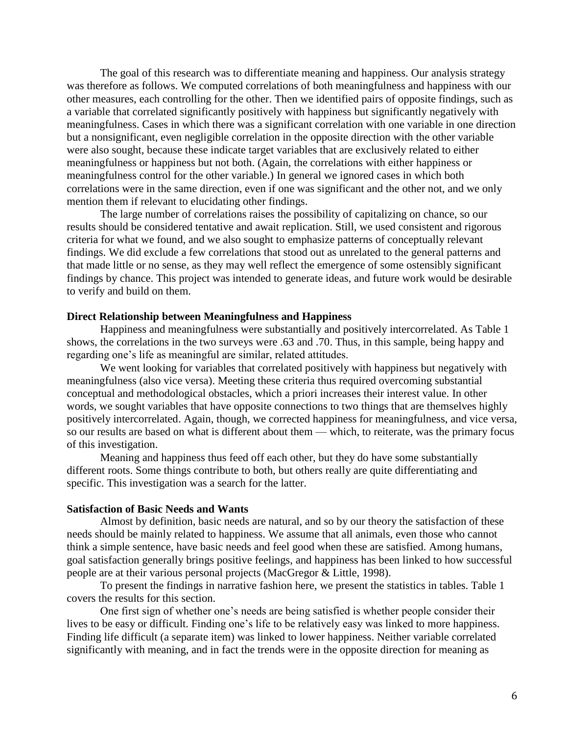The goal of this research was to differentiate meaning and happiness. Our analysis strategy was therefore as follows. We computed correlations of both meaningfulness and happiness with our other measures, each controlling for the other. Then we identified pairs of opposite findings, such as a variable that correlated significantly positively with happiness but significantly negatively with meaningfulness. Cases in which there was a significant correlation with one variable in one direction but a nonsignificant, even negligible correlation in the opposite direction with the other variable were also sought, because these indicate target variables that are exclusively related to either meaningfulness or happiness but not both. (Again, the correlations with either happiness or meaningfulness control for the other variable.) In general we ignored cases in which both correlations were in the same direction, even if one was significant and the other not, and we only mention them if relevant to elucidating other findings.

The large number of correlations raises the possibility of capitalizing on chance, so our results should be considered tentative and await replication. Still, we used consistent and rigorous criteria for what we found, and we also sought to emphasize patterns of conceptually relevant findings. We did exclude a few correlations that stood out as unrelated to the general patterns and that made little or no sense, as they may well reflect the emergence of some ostensibly significant findings by chance. This project was intended to generate ideas, and future work would be desirable to verify and build on them.

#### **Direct Relationship between Meaningfulness and Happiness**

Happiness and meaningfulness were substantially and positively intercorrelated. As Table 1 shows, the correlations in the two surveys were .63 and .70. Thus, in this sample, being happy and regarding one's life as meaningful are similar, related attitudes.

We went looking for variables that correlated positively with happiness but negatively with meaningfulness (also vice versa). Meeting these criteria thus required overcoming substantial conceptual and methodological obstacles, which a priori increases their interest value. In other words, we sought variables that have opposite connections to two things that are themselves highly positively intercorrelated. Again, though, we corrected happiness for meaningfulness, and vice versa, so our results are based on what is different about them — which, to reiterate, was the primary focus of this investigation.

Meaning and happiness thus feed off each other, but they do have some substantially different roots. Some things contribute to both, but others really are quite differentiating and specific. This investigation was a search for the latter.

#### **Satisfaction of Basic Needs and Wants**

Almost by definition, basic needs are natural, and so by our theory the satisfaction of these needs should be mainly related to happiness. We assume that all animals, even those who cannot think a simple sentence, have basic needs and feel good when these are satisfied. Among humans, goal satisfaction generally brings positive feelings, and happiness has been linked to how successful people are at their various personal projects (MacGregor & Little, 1998).

To present the findings in narrative fashion here, we present the statistics in tables. Table 1 covers the results for this section.

One first sign of whether one's needs are being satisfied is whether people consider their lives to be easy or difficult. Finding one's life to be relatively easy was linked to more happiness. Finding life difficult (a separate item) was linked to lower happiness. Neither variable correlated significantly with meaning, and in fact the trends were in the opposite direction for meaning as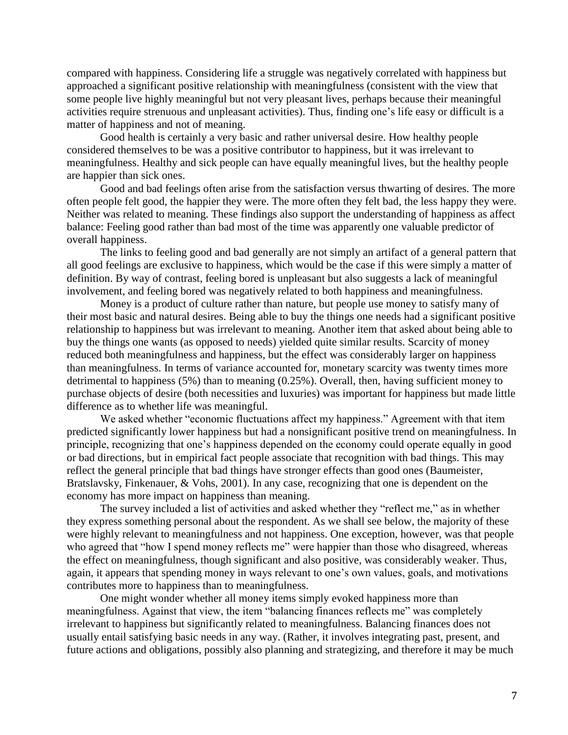compared with happiness. Considering life a struggle was negatively correlated with happiness but approached a significant positive relationship with meaningfulness (consistent with the view that some people live highly meaningful but not very pleasant lives, perhaps because their meaningful activities require strenuous and unpleasant activities). Thus, finding one's life easy or difficult is a matter of happiness and not of meaning.

Good health is certainly a very basic and rather universal desire. How healthy people considered themselves to be was a positive contributor to happiness, but it was irrelevant to meaningfulness. Healthy and sick people can have equally meaningful lives, but the healthy people are happier than sick ones.

Good and bad feelings often arise from the satisfaction versus thwarting of desires. The more often people felt good, the happier they were. The more often they felt bad, the less happy they were. Neither was related to meaning. These findings also support the understanding of happiness as affect balance: Feeling good rather than bad most of the time was apparently one valuable predictor of overall happiness.

The links to feeling good and bad generally are not simply an artifact of a general pattern that all good feelings are exclusive to happiness, which would be the case if this were simply a matter of definition. By way of contrast, feeling bored is unpleasant but also suggests a lack of meaningful involvement, and feeling bored was negatively related to both happiness and meaningfulness.

Money is a product of culture rather than nature, but people use money to satisfy many of their most basic and natural desires. Being able to buy the things one needs had a significant positive relationship to happiness but was irrelevant to meaning. Another item that asked about being able to buy the things one wants (as opposed to needs) yielded quite similar results. Scarcity of money reduced both meaningfulness and happiness, but the effect was considerably larger on happiness than meaningfulness. In terms of variance accounted for, monetary scarcity was twenty times more detrimental to happiness (5%) than to meaning (0.25%). Overall, then, having sufficient money to purchase objects of desire (both necessities and luxuries) was important for happiness but made little difference as to whether life was meaningful.

We asked whether "economic fluctuations affect my happiness." Agreement with that item predicted significantly lower happiness but had a nonsignificant positive trend on meaningfulness. In principle, recognizing that one's happiness depended on the economy could operate equally in good or bad directions, but in empirical fact people associate that recognition with bad things. This may reflect the general principle that bad things have stronger effects than good ones (Baumeister, Bratslavsky, Finkenauer, & Vohs, 2001). In any case, recognizing that one is dependent on the economy has more impact on happiness than meaning.

The survey included a list of activities and asked whether they "reflect me," as in whether they express something personal about the respondent. As we shall see below, the majority of these were highly relevant to meaningfulness and not happiness. One exception, however, was that people who agreed that "how I spend money reflects me" were happier than those who disagreed, whereas the effect on meaningfulness, though significant and also positive, was considerably weaker. Thus, again, it appears that spending money in ways relevant to one's own values, goals, and motivations contributes more to happiness than to meaningfulness.

One might wonder whether all money items simply evoked happiness more than meaningfulness. Against that view, the item "balancing finances reflects me" was completely irrelevant to happiness but significantly related to meaningfulness. Balancing finances does not usually entail satisfying basic needs in any way. (Rather, it involves integrating past, present, and future actions and obligations, possibly also planning and strategizing, and therefore it may be much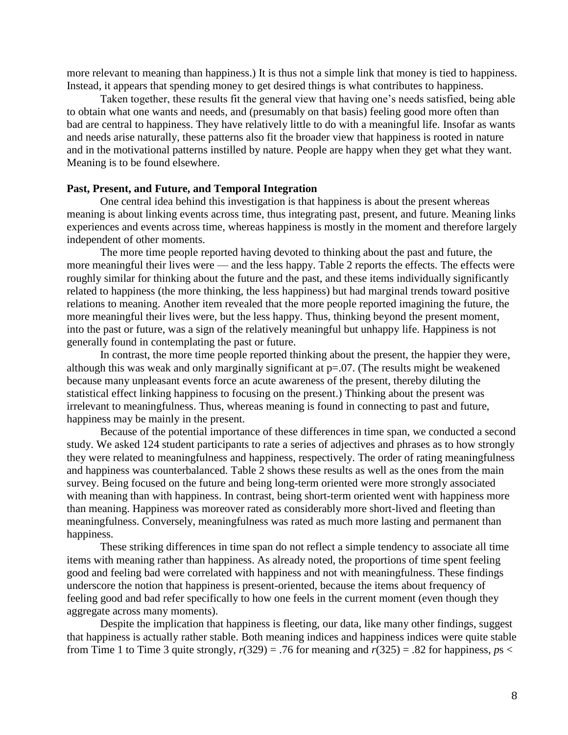more relevant to meaning than happiness.) It is thus not a simple link that money is tied to happiness. Instead, it appears that spending money to get desired things is what contributes to happiness.

Taken together, these results fit the general view that having one's needs satisfied, being able to obtain what one wants and needs, and (presumably on that basis) feeling good more often than bad are central to happiness. They have relatively little to do with a meaningful life. Insofar as wants and needs arise naturally, these patterns also fit the broader view that happiness is rooted in nature and in the motivational patterns instilled by nature. People are happy when they get what they want. Meaning is to be found elsewhere.

## **Past, Present, and Future, and Temporal Integration**

One central idea behind this investigation is that happiness is about the present whereas meaning is about linking events across time, thus integrating past, present, and future. Meaning links experiences and events across time, whereas happiness is mostly in the moment and therefore largely independent of other moments.

The more time people reported having devoted to thinking about the past and future, the more meaningful their lives were — and the less happy. Table 2 reports the effects. The effects were roughly similar for thinking about the future and the past, and these items individually significantly related to happiness (the more thinking, the less happiness) but had marginal trends toward positive relations to meaning. Another item revealed that the more people reported imagining the future, the more meaningful their lives were, but the less happy. Thus, thinking beyond the present moment, into the past or future, was a sign of the relatively meaningful but unhappy life. Happiness is not generally found in contemplating the past or future.

In contrast, the more time people reported thinking about the present, the happier they were, although this was weak and only marginally significant at p=.07. (The results might be weakened because many unpleasant events force an acute awareness of the present, thereby diluting the statistical effect linking happiness to focusing on the present.) Thinking about the present was irrelevant to meaningfulness. Thus, whereas meaning is found in connecting to past and future, happiness may be mainly in the present.

Because of the potential importance of these differences in time span, we conducted a second study. We asked 124 student participants to rate a series of adjectives and phrases as to how strongly they were related to meaningfulness and happiness, respectively. The order of rating meaningfulness and happiness was counterbalanced. Table 2 shows these results as well as the ones from the main survey. Being focused on the future and being long-term oriented were more strongly associated with meaning than with happiness. In contrast, being short-term oriented went with happiness more than meaning. Happiness was moreover rated as considerably more short-lived and fleeting than meaningfulness. Conversely, meaningfulness was rated as much more lasting and permanent than happiness.

These striking differences in time span do not reflect a simple tendency to associate all time items with meaning rather than happiness. As already noted, the proportions of time spent feeling good and feeling bad were correlated with happiness and not with meaningfulness. These findings underscore the notion that happiness is present-oriented, because the items about frequency of feeling good and bad refer specifically to how one feels in the current moment (even though they aggregate across many moments).

Despite the implication that happiness is fleeting, our data, like many other findings, suggest that happiness is actually rather stable. Both meaning indices and happiness indices were quite stable from Time 1 to Time 3 quite strongly,  $r(329) = .76$  for meaning and  $r(325) = .82$  for happiness,  $ps <$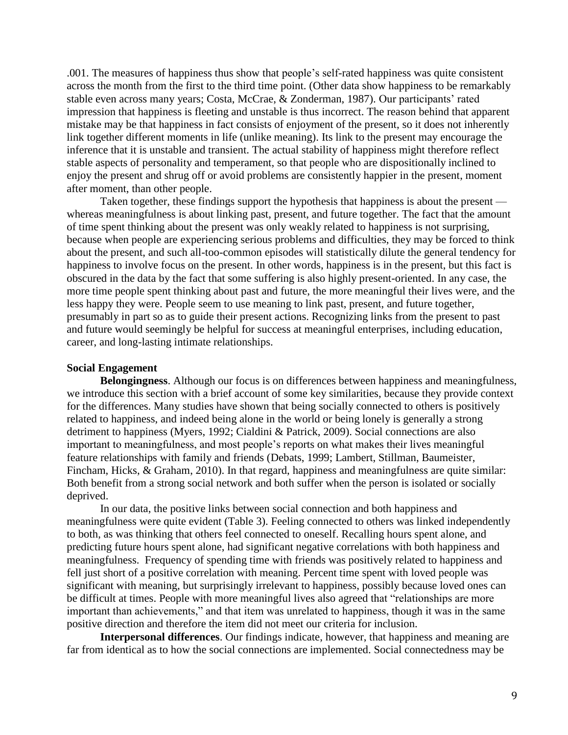.001. The measures of happiness thus show that people's self-rated happiness was quite consistent across the month from the first to the third time point. (Other data show happiness to be remarkably stable even across many years; Costa, McCrae, & Zonderman, 1987). Our participants' rated impression that happiness is fleeting and unstable is thus incorrect. The reason behind that apparent mistake may be that happiness in fact consists of enjoyment of the present, so it does not inherently link together different moments in life (unlike meaning). Its link to the present may encourage the inference that it is unstable and transient. The actual stability of happiness might therefore reflect stable aspects of personality and temperament, so that people who are dispositionally inclined to enjoy the present and shrug off or avoid problems are consistently happier in the present, moment after moment, than other people.

Taken together, these findings support the hypothesis that happiness is about the present whereas meaningfulness is about linking past, present, and future together. The fact that the amount of time spent thinking about the present was only weakly related to happiness is not surprising, because when people are experiencing serious problems and difficulties, they may be forced to think about the present, and such all-too-common episodes will statistically dilute the general tendency for happiness to involve focus on the present. In other words, happiness is in the present, but this fact is obscured in the data by the fact that some suffering is also highly present-oriented. In any case, the more time people spent thinking about past and future, the more meaningful their lives were, and the less happy they were. People seem to use meaning to link past, present, and future together, presumably in part so as to guide their present actions. Recognizing links from the present to past and future would seemingly be helpful for success at meaningful enterprises, including education, career, and long-lasting intimate relationships.

# **Social Engagement**

**Belongingness**. Although our focus is on differences between happiness and meaningfulness, we introduce this section with a brief account of some key similarities, because they provide context for the differences. Many studies have shown that being socially connected to others is positively related to happiness, and indeed being alone in the world or being lonely is generally a strong detriment to happiness (Myers, 1992; Cialdini & Patrick, 2009). Social connections are also important to meaningfulness, and most people's reports on what makes their lives meaningful feature relationships with family and friends (Debats, 1999; Lambert, Stillman, Baumeister, Fincham, Hicks, & Graham, 2010). In that regard, happiness and meaningfulness are quite similar: Both benefit from a strong social network and both suffer when the person is isolated or socially deprived.

In our data, the positive links between social connection and both happiness and meaningfulness were quite evident (Table 3). Feeling connected to others was linked independently to both, as was thinking that others feel connected to oneself. Recalling hours spent alone, and predicting future hours spent alone, had significant negative correlations with both happiness and meaningfulness. Frequency of spending time with friends was positively related to happiness and fell just short of a positive correlation with meaning. Percent time spent with loved people was significant with meaning, but surprisingly irrelevant to happiness, possibly because loved ones can be difficult at times. People with more meaningful lives also agreed that "relationships are more important than achievements," and that item was unrelated to happiness, though it was in the same positive direction and therefore the item did not meet our criteria for inclusion.

**Interpersonal differences**. Our findings indicate, however, that happiness and meaning are far from identical as to how the social connections are implemented. Social connectedness may be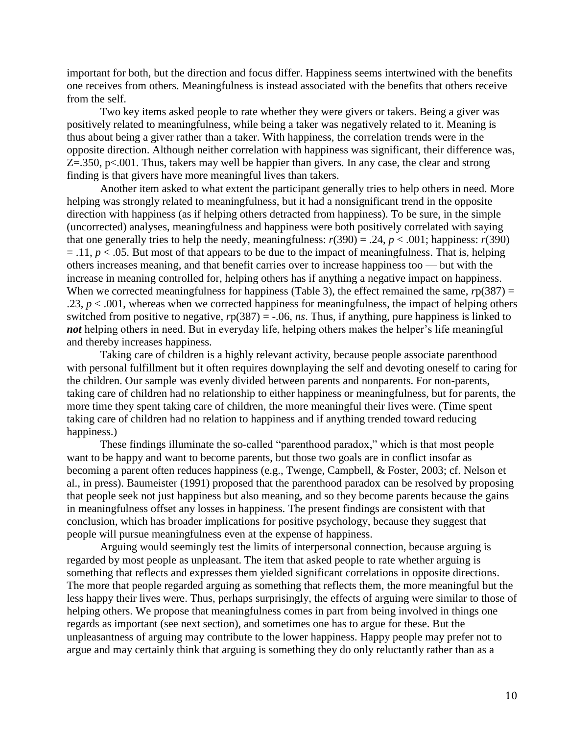important for both, but the direction and focus differ. Happiness seems intertwined with the benefits one receives from others. Meaningfulness is instead associated with the benefits that others receive from the self.

Two key items asked people to rate whether they were givers or takers. Being a giver was positively related to meaningfulness, while being a taker was negatively related to it. Meaning is thus about being a giver rather than a taker. With happiness, the correlation trends were in the opposite direction. Although neither correlation with happiness was significant, their difference was,  $Z = 0.350$ , p<.001. Thus, takers may well be happier than givers. In any case, the clear and strong finding is that givers have more meaningful lives than takers.

Another item asked to what extent the participant generally tries to help others in need. More helping was strongly related to meaningfulness, but it had a nonsignificant trend in the opposite direction with happiness (as if helping others detracted from happiness). To be sure, in the simple (uncorrected) analyses, meaningfulness and happiness were both positively correlated with saying that one generally tries to help the needy, meaningfulness:  $r(390) = .24$ ,  $p < .001$ ; happiness:  $r(390)$  $=$  .11,  $p < 0.05$ . But most of that appears to be due to the impact of meaningfulness. That is, helping others increases meaning, and that benefit carries over to increase happiness too — but with the increase in meaning controlled for, helping others has if anything a negative impact on happiness. When we corrected meaningfulness for happiness (Table 3), the effect remained the same,  $rp(387) =$ .23,  $p < .001$ , whereas when we corrected happiness for meaningfulness, the impact of helping others switched from positive to negative,  $rp(387) = -.06$ , *ns*. Thus, if anything, pure happiness is linked to *not* helping others in need. But in everyday life, helping others makes the helper's life meaningful and thereby increases happiness.

Taking care of children is a highly relevant activity, because people associate parenthood with personal fulfillment but it often requires downplaying the self and devoting oneself to caring for the children. Our sample was evenly divided between parents and nonparents. For non-parents, taking care of children had no relationship to either happiness or meaningfulness, but for parents, the more time they spent taking care of children, the more meaningful their lives were. (Time spent taking care of children had no relation to happiness and if anything trended toward reducing happiness.)

These findings illuminate the so-called "parenthood paradox," which is that most people want to be happy and want to become parents, but those two goals are in conflict insofar as becoming a parent often reduces happiness (e.g., Twenge, Campbell, & Foster, 2003; cf. Nelson et al., in press). Baumeister (1991) proposed that the parenthood paradox can be resolved by proposing that people seek not just happiness but also meaning, and so they become parents because the gains in meaningfulness offset any losses in happiness. The present findings are consistent with that conclusion, which has broader implications for positive psychology, because they suggest that people will pursue meaningfulness even at the expense of happiness.

Arguing would seemingly test the limits of interpersonal connection, because arguing is regarded by most people as unpleasant. The item that asked people to rate whether arguing is something that reflects and expresses them yielded significant correlations in opposite directions. The more that people regarded arguing as something that reflects them, the more meaningful but the less happy their lives were. Thus, perhaps surprisingly, the effects of arguing were similar to those of helping others. We propose that meaningfulness comes in part from being involved in things one regards as important (see next section), and sometimes one has to argue for these. But the unpleasantness of arguing may contribute to the lower happiness. Happy people may prefer not to argue and may certainly think that arguing is something they do only reluctantly rather than as a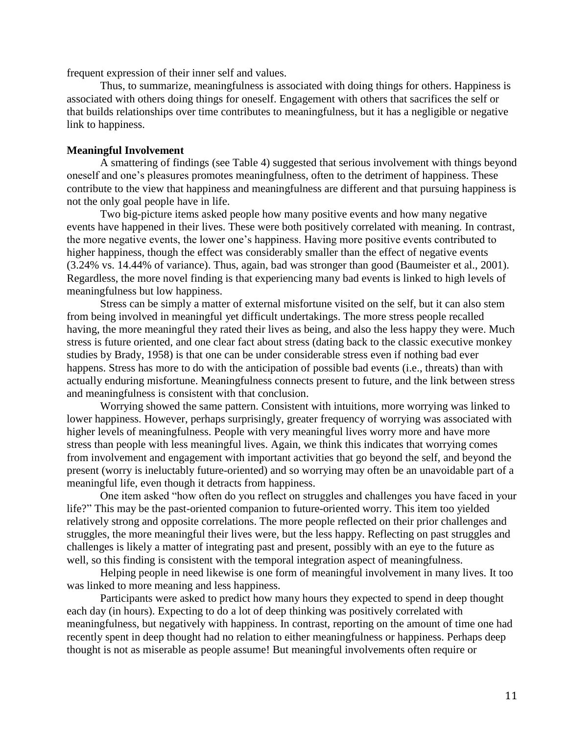frequent expression of their inner self and values.

Thus, to summarize, meaningfulness is associated with doing things for others. Happiness is associated with others doing things for oneself. Engagement with others that sacrifices the self or that builds relationships over time contributes to meaningfulness, but it has a negligible or negative link to happiness.

## **Meaningful Involvement**

A smattering of findings (see Table 4) suggested that serious involvement with things beyond oneself and one's pleasures promotes meaningfulness, often to the detriment of happiness. These contribute to the view that happiness and meaningfulness are different and that pursuing happiness is not the only goal people have in life.

Two big-picture items asked people how many positive events and how many negative events have happened in their lives. These were both positively correlated with meaning. In contrast, the more negative events, the lower one's happiness. Having more positive events contributed to higher happiness, though the effect was considerably smaller than the effect of negative events (3.24% vs. 14.44% of variance). Thus, again, bad was stronger than good (Baumeister et al., 2001). Regardless, the more novel finding is that experiencing many bad events is linked to high levels of meaningfulness but low happiness.

Stress can be simply a matter of external misfortune visited on the self, but it can also stem from being involved in meaningful yet difficult undertakings. The more stress people recalled having, the more meaningful they rated their lives as being, and also the less happy they were. Much stress is future oriented, and one clear fact about stress (dating back to the classic executive monkey studies by Brady, 1958) is that one can be under considerable stress even if nothing bad ever happens. Stress has more to do with the anticipation of possible bad events (i.e., threats) than with actually enduring misfortune. Meaningfulness connects present to future, and the link between stress and meaningfulness is consistent with that conclusion.

Worrying showed the same pattern. Consistent with intuitions, more worrying was linked to lower happiness. However, perhaps surprisingly, greater frequency of worrying was associated with higher levels of meaningfulness. People with very meaningful lives worry more and have more stress than people with less meaningful lives. Again, we think this indicates that worrying comes from involvement and engagement with important activities that go beyond the self, and beyond the present (worry is ineluctably future-oriented) and so worrying may often be an unavoidable part of a meaningful life, even though it detracts from happiness.

One item asked "how often do you reflect on struggles and challenges you have faced in your life?" This may be the past-oriented companion to future-oriented worry. This item too yielded relatively strong and opposite correlations. The more people reflected on their prior challenges and struggles, the more meaningful their lives were, but the less happy. Reflecting on past struggles and challenges is likely a matter of integrating past and present, possibly with an eye to the future as well, so this finding is consistent with the temporal integration aspect of meaningfulness.

Helping people in need likewise is one form of meaningful involvement in many lives. It too was linked to more meaning and less happiness.

Participants were asked to predict how many hours they expected to spend in deep thought each day (in hours). Expecting to do a lot of deep thinking was positively correlated with meaningfulness, but negatively with happiness. In contrast, reporting on the amount of time one had recently spent in deep thought had no relation to either meaningfulness or happiness. Perhaps deep thought is not as miserable as people assume! But meaningful involvements often require or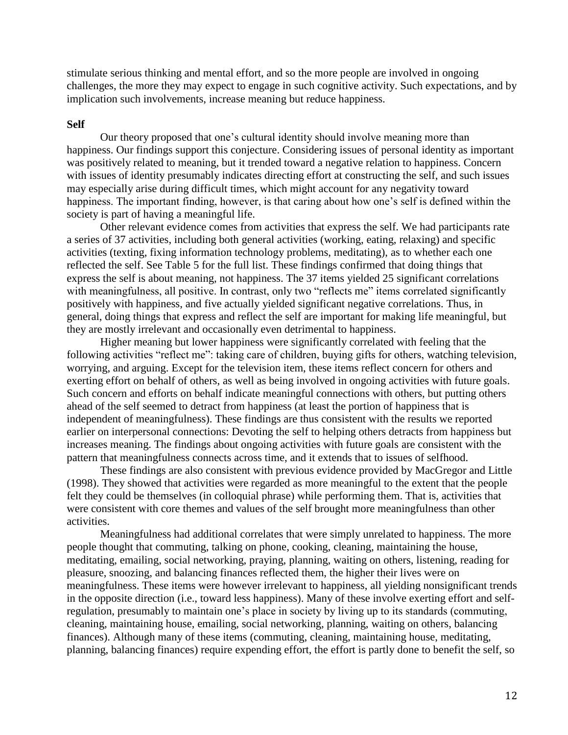stimulate serious thinking and mental effort, and so the more people are involved in ongoing challenges, the more they may expect to engage in such cognitive activity. Such expectations, and by implication such involvements, increase meaning but reduce happiness.

## **Self**

Our theory proposed that one's cultural identity should involve meaning more than happiness. Our findings support this conjecture. Considering issues of personal identity as important was positively related to meaning, but it trended toward a negative relation to happiness. Concern with issues of identity presumably indicates directing effort at constructing the self, and such issues may especially arise during difficult times, which might account for any negativity toward happiness. The important finding, however, is that caring about how one's self is defined within the society is part of having a meaningful life.

Other relevant evidence comes from activities that express the self. We had participants rate a series of 37 activities, including both general activities (working, eating, relaxing) and specific activities (texting, fixing information technology problems, meditating), as to whether each one reflected the self. See Table 5 for the full list. These findings confirmed that doing things that express the self is about meaning, not happiness. The 37 items yielded 25 significant correlations with meaningfulness, all positive. In contrast, only two "reflects me" items correlated significantly positively with happiness, and five actually yielded significant negative correlations. Thus, in general, doing things that express and reflect the self are important for making life meaningful, but they are mostly irrelevant and occasionally even detrimental to happiness.

Higher meaning but lower happiness were significantly correlated with feeling that the following activities "reflect me": taking care of children, buying gifts for others, watching television, worrying, and arguing. Except for the television item, these items reflect concern for others and exerting effort on behalf of others, as well as being involved in ongoing activities with future goals. Such concern and efforts on behalf indicate meaningful connections with others, but putting others ahead of the self seemed to detract from happiness (at least the portion of happiness that is independent of meaningfulness). These findings are thus consistent with the results we reported earlier on interpersonal connections: Devoting the self to helping others detracts from happiness but increases meaning. The findings about ongoing activities with future goals are consistent with the pattern that meaningfulness connects across time, and it extends that to issues of selfhood.

These findings are also consistent with previous evidence provided by MacGregor and Little (1998). They showed that activities were regarded as more meaningful to the extent that the people felt they could be themselves (in colloquial phrase) while performing them. That is, activities that were consistent with core themes and values of the self brought more meaningfulness than other activities.

Meaningfulness had additional correlates that were simply unrelated to happiness. The more people thought that commuting, talking on phone, cooking, cleaning, maintaining the house, meditating, emailing, social networking, praying, planning, waiting on others, listening, reading for pleasure, snoozing, and balancing finances reflected them, the higher their lives were on meaningfulness. These items were however irrelevant to happiness, all yielding nonsignificant trends in the opposite direction (i.e., toward less happiness). Many of these involve exerting effort and selfregulation, presumably to maintain one's place in society by living up to its standards (commuting, cleaning, maintaining house, emailing, social networking, planning, waiting on others, balancing finances). Although many of these items (commuting, cleaning, maintaining house, meditating, planning, balancing finances) require expending effort, the effort is partly done to benefit the self, so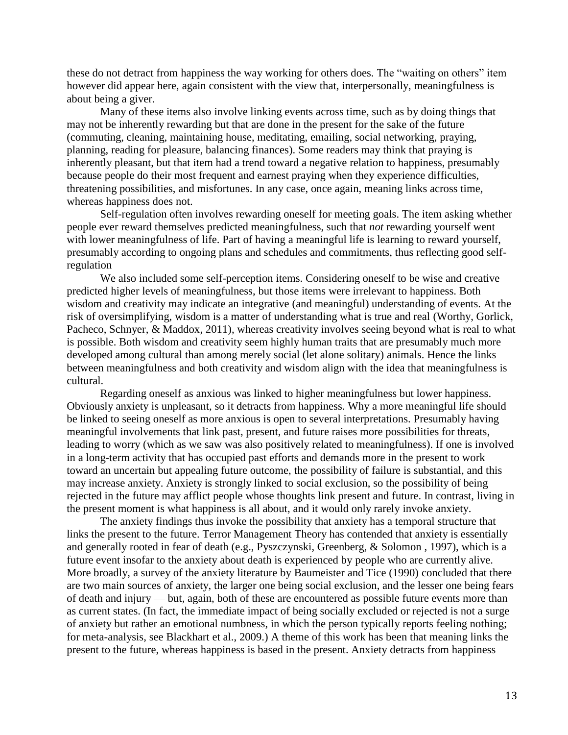these do not detract from happiness the way working for others does. The "waiting on others" item however did appear here, again consistent with the view that, interpersonally, meaningfulness is about being a giver.

Many of these items also involve linking events across time, such as by doing things that may not be inherently rewarding but that are done in the present for the sake of the future (commuting, cleaning, maintaining house, meditating, emailing, social networking, praying, planning, reading for pleasure, balancing finances). Some readers may think that praying is inherently pleasant, but that item had a trend toward a negative relation to happiness, presumably because people do their most frequent and earnest praying when they experience difficulties, threatening possibilities, and misfortunes. In any case, once again, meaning links across time, whereas happiness does not.

Self-regulation often involves rewarding oneself for meeting goals. The item asking whether people ever reward themselves predicted meaningfulness, such that *not* rewarding yourself went with lower meaningfulness of life. Part of having a meaningful life is learning to reward yourself, presumably according to ongoing plans and schedules and commitments, thus reflecting good selfregulation

We also included some self-perception items. Considering oneself to be wise and creative predicted higher levels of meaningfulness, but those items were irrelevant to happiness. Both wisdom and creativity may indicate an integrative (and meaningful) understanding of events. At the risk of oversimplifying, wisdom is a matter of understanding what is true and real (Worthy, Gorlick, Pacheco, Schnyer, & Maddox, 2011), whereas creativity involves seeing beyond what is real to what is possible. Both wisdom and creativity seem highly human traits that are presumably much more developed among cultural than among merely social (let alone solitary) animals. Hence the links between meaningfulness and both creativity and wisdom align with the idea that meaningfulness is cultural.

Regarding oneself as anxious was linked to higher meaningfulness but lower happiness. Obviously anxiety is unpleasant, so it detracts from happiness. Why a more meaningful life should be linked to seeing oneself as more anxious is open to several interpretations. Presumably having meaningful involvements that link past, present, and future raises more possibilities for threats, leading to worry (which as we saw was also positively related to meaningfulness). If one is involved in a long-term activity that has occupied past efforts and demands more in the present to work toward an uncertain but appealing future outcome, the possibility of failure is substantial, and this may increase anxiety. Anxiety is strongly linked to social exclusion, so the possibility of being rejected in the future may afflict people whose thoughts link present and future. In contrast, living in the present moment is what happiness is all about, and it would only rarely invoke anxiety.

The anxiety findings thus invoke the possibility that anxiety has a temporal structure that links the present to the future. Terror Management Theory has contended that anxiety is essentially and generally rooted in fear of death (e.g., Pyszczynski, Greenberg, & Solomon , 1997), which is a future event insofar to the anxiety about death is experienced by people who are currently alive. More broadly, a survey of the anxiety literature by Baumeister and Tice (1990) concluded that there are two main sources of anxiety, the larger one being social exclusion, and the lesser one being fears of death and injury — but, again, both of these are encountered as possible future events more than as current states. (In fact, the immediate impact of being socially excluded or rejected is not a surge of anxiety but rather an emotional numbness, in which the person typically reports feeling nothing; for meta-analysis, see Blackhart et al., 2009.) A theme of this work has been that meaning links the present to the future, whereas happiness is based in the present. Anxiety detracts from happiness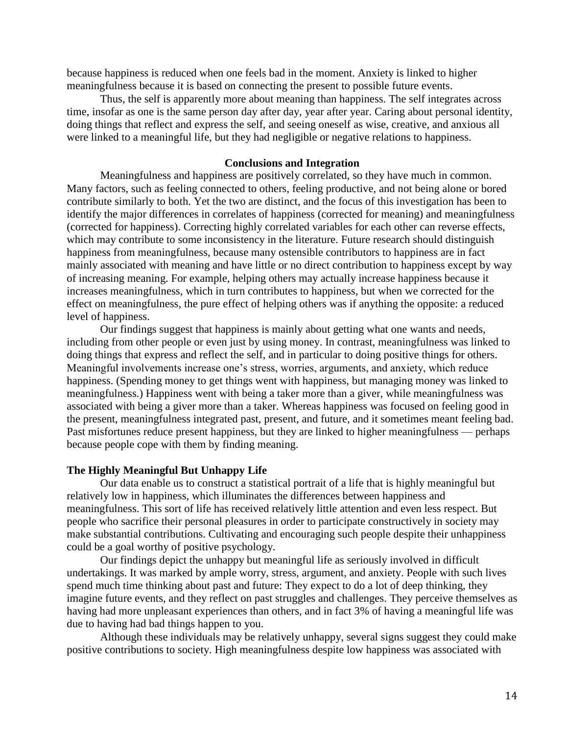because happiness is reduced when one feels bad in the moment. Anxiety is linked to higher meaningfulness because it is based on connecting the present to possible future events.

Thus, the self is apparently more about meaning than happiness. The self integrates across time, insofar as one is the same person day after day, year after year. Caring about personal identity, doing things that reflect and express the self, and seeing oneself as wise, creative, and anxious all were linked to a meaningful life, but they had negligible or negative relations to happiness.

# **Conclusions and Integration**

Meaningfulness and happiness are positively correlated, so they have much in common. Many factors, such as feeling connected to others, feeling productive, and not being alone or bored contribute similarly to both. Yet the two are distinct, and the focus of this investigation has been to identify the major differences in correlates of happiness (corrected for meaning) and meaningfulness (corrected for happiness). Correcting highly correlated variables for each other can reverse effects, which may contribute to some inconsistency in the literature. Future research should distinguish happiness from meaningfulness, because many ostensible contributors to happiness are in fact mainly associated with meaning and have little or no direct contribution to happiness except by way of increasing meaning. For example, helping others may actually increase happiness because it increases meaningfulness, which in turn contributes to happiness, but when we corrected for the effect on meaningfulness, the pure effect of helping others was if anything the opposite: a reduced level of happiness.

Our findings suggest that happiness is mainly about getting what one wants and needs, including from other people or even just by using money. In contrast, meaningfulness was linked to doing things that express and reflect the self, and in particular to doing positive things for others. Meaningful involvements increase one's stress, worries, arguments, and anxiety, which reduce happiness. (Spending money to get things went with happiness, but managing money was linked to meaningfulness.) Happiness went with being a taker more than a giver, while meaningfulness was associated with being a giver more than a taker. Whereas happiness was focused on feeling good in the present, meaningfulness integrated past, present, and future, and it sometimes meant feeling bad. Past misfortunes reduce present happiness, but they are linked to higher meaningfulness — perhaps because people cope with them by finding meaning.

#### **The Highly Meaningful But Unhappy Life**

Our data enable us to construct a statistical portrait of a life that is highly meaningful but relatively low in happiness, which illuminates the differences between happiness and meaningfulness. This sort of life has received relatively little attention and even less respect. But people who sacrifice their personal pleasures in order to participate constructively in society may make substantial contributions. Cultivating and encouraging such people despite their unhappiness could be a goal worthy of positive psychology.

Our findings depict the unhappy but meaningful life as seriously involved in difficult undertakings. It was marked by ample worry, stress, argument, and anxiety. People with such lives spend much time thinking about past and future: They expect to do a lot of deep thinking, they imagine future events, and they reflect on past struggles and challenges. They perceive themselves as having had more unpleasant experiences than others, and in fact 3% of having a meaningful life was due to having had bad things happen to you.

Although these individuals may be relatively unhappy, several signs suggest they could make positive contributions to society. High meaningfulness despite low happiness was associated with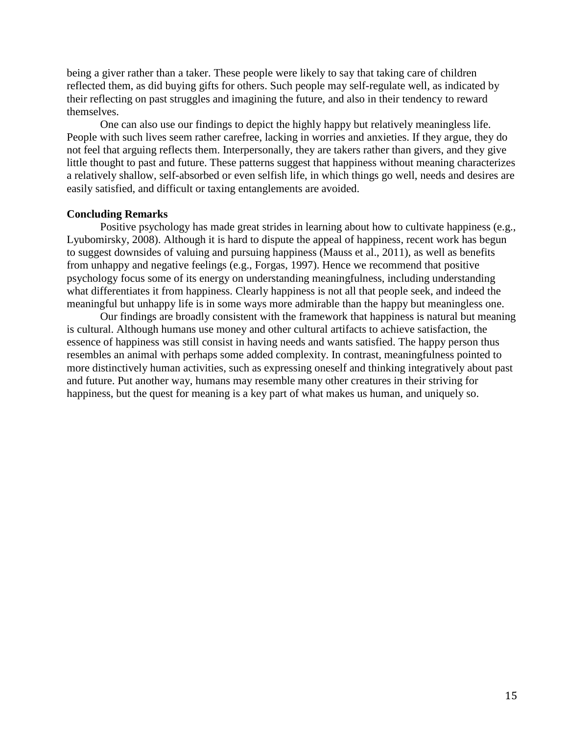being a giver rather than a taker. These people were likely to say that taking care of children reflected them, as did buying gifts for others. Such people may self-regulate well, as indicated by their reflecting on past struggles and imagining the future, and also in their tendency to reward themselves.

One can also use our findings to depict the highly happy but relatively meaningless life. People with such lives seem rather carefree, lacking in worries and anxieties. If they argue, they do not feel that arguing reflects them. Interpersonally, they are takers rather than givers, and they give little thought to past and future. These patterns suggest that happiness without meaning characterizes a relatively shallow, self-absorbed or even selfish life, in which things go well, needs and desires are easily satisfied, and difficult or taxing entanglements are avoided.

# **Concluding Remarks**

Positive psychology has made great strides in learning about how to cultivate happiness (e.g., Lyubomirsky, 2008). Although it is hard to dispute the appeal of happiness, recent work has begun to suggest downsides of valuing and pursuing happiness (Mauss et al., 2011), as well as benefits from unhappy and negative feelings (e.g., Forgas, 1997). Hence we recommend that positive psychology focus some of its energy on understanding meaningfulness, including understanding what differentiates it from happiness. Clearly happiness is not all that people seek, and indeed the meaningful but unhappy life is in some ways more admirable than the happy but meaningless one.

Our findings are broadly consistent with the framework that happiness is natural but meaning is cultural. Although humans use money and other cultural artifacts to achieve satisfaction, the essence of happiness was still consist in having needs and wants satisfied. The happy person thus resembles an animal with perhaps some added complexity. In contrast, meaningfulness pointed to more distinctively human activities, such as expressing oneself and thinking integratively about past and future. Put another way, humans may resemble many other creatures in their striving for happiness, but the quest for meaning is a key part of what makes us human, and uniquely so.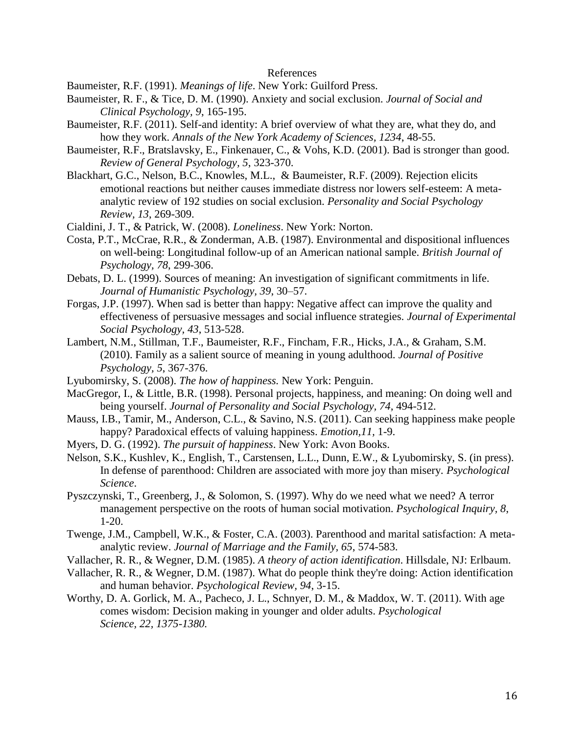#### References

Baumeister, R.F. (1991). *Meanings of life*. New York: Guilford Press.

- Baumeister, R. F., & Tice, D. M. (1990). Anxiety and social exclusion. *Journal of Social and Clinical Psychology, 9*, 165-195.
- Baumeister, R.F. (2011). Self-and identity: A brief overview of what they are, what they do, and how they work. *Annals of the New York Academy of Sciences, 1234*, 48-55.
- Baumeister, R.F., Bratslavsky, E., Finkenauer, C., & Vohs, K.D. (2001). Bad is stronger than good. *Review of General Psychology, 5*, 323-370.
- Blackhart, G.C., Nelson, B.C., Knowles, M.L., & Baumeister, R.F. (2009). Rejection elicits emotional reactions but neither causes immediate distress nor lowers self-esteem: A metaanalytic review of 192 studies on social exclusion. *Personality and Social Psychology Review, 13*, 269-309.
- Cialdini, J. T., & Patrick, W. (2008). *Loneliness*. New York: Norton.
- Costa, P.T., McCrae, R.R., & Zonderman, A.B. (1987). Environmental and dispositional influences on well-being: Longitudinal follow-up of an American national sample. *British Journal of Psychology, 78*, 299-306.
- Debats, D. L. (1999). Sources of meaning: An investigation of significant commitments in life. *Journal of Humanistic Psychology, 39*, 30–57.
- Forgas, J.P. (1997). When sad is better than happy: Negative affect can improve the quality and effectiveness of persuasive messages and social influence strategies. *Journal of Experimental Social Psychology, 43*, 513-528.
- Lambert, N.M., Stillman, T.F., Baumeister, R.F., Fincham, F.R., Hicks, J.A., & Graham, S.M. (2010). Family as a salient source of meaning in young adulthood. *Journal of Positive Psychology, 5*, 367-376.
- Lyubomirsky, S. (2008). *The how of happiness.* New York: Penguin.
- MacGregor, I., & Little, B.R. (1998). Personal projects, happiness, and meaning: On doing well and being yourself. *Journal of Personality and Social Psychology, 74*, 494-512.
- Mauss, I.B., Tamir, M., Anderson, C.L., & Savino, N.S. (2011). Can seeking happiness make people happy? Paradoxical effects of valuing happiness. *Emotion,11,* 1-9.
- Myers, D. G. (1992). *The pursuit of happiness*. New York: Avon Books.
- Nelson, S.K., Kushlev, K., English, T., Carstensen, L.L., Dunn, E.W., & Lyubomirsky, S. (in press). In defense of parenthood: Children are associated with more joy than misery. *Psychological Science*.
- Pyszczynski, T., Greenberg, J., & Solomon, S. (1997). Why do we need what we need? A terror management perspective on the roots of human social motivation. *Psychological Inquiry, 8*, 1-20.
- Twenge, J.M., Campbell, W.K., & Foster, C.A. (2003). Parenthood and marital satisfaction: A metaanalytic review. *Journal of Marriage and the Family, 65*, 574-583.
- Vallacher, R. R., & Wegner, D.M. (1985). *A theory of action identification*. Hillsdale, NJ: Erlbaum.
- Vallacher, R. R., & Wegner, D.M. (1987). What do people think they're doing: Action identification and human behavior. *Psychological Review, 94*, 3-15.
- Worthy, D. A. Gorlick, M. A., Pacheco, J. L., Schnyer, D. M., & Maddox, W. T. (2011). With age comes wisdom: Decision making in younger and older adults. *Psychological Science, 22, 1375-1380.*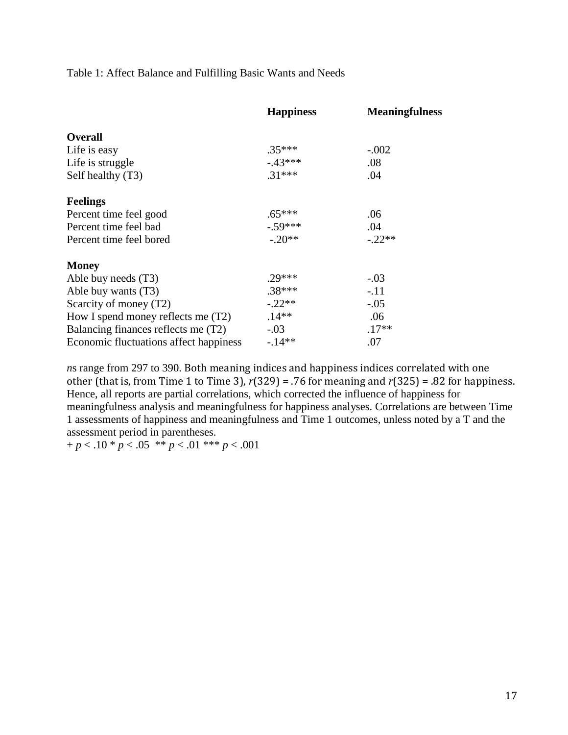# Table 1: Affect Balance and Fulfilling Basic Wants and Needs

|                                        | <b>Happiness</b> | <b>Meaningfulness</b> |
|----------------------------------------|------------------|-----------------------|
| <b>Overall</b>                         |                  |                       |
| Life is easy                           | $.35***$         | $-.002$               |
| Life is struggle                       | $-0.43***$       | .08                   |
| Self healthy (T3)                      | $.31***$         | .04                   |
| <b>Feelings</b>                        |                  |                       |
| Percent time feel good                 | $.65***$         | .06                   |
| Percent time feel bad                  | $-.59***$        | .04                   |
| Percent time feel bored                | $-.20**$         | $-.22**$              |
| <b>Money</b>                           |                  |                       |
| Able buy needs (T3)                    | $.29***$         | $-.03$                |
| Able buy wants (T3)                    | $.38***$         | $-.11$                |
| Scarcity of money (T2)                 | $-.22**$         | $-.05$                |
| How I spend money reflects me (T2)     | $.14**$          | .06                   |
| Balancing finances reflects me (T2)    | $-.03$           | $.17**$               |
| Economic fluctuations affect happiness | $-14**$          | .07                   |

*n*s range from 297 to 390. Both meaning indices and happiness indices correlated with one other (that is, from Time 1 to Time 3), *r*(329) = .76 for meaning and *r*(325) = .82 for happiness. Hence, all reports are partial correlations, which corrected the influence of happiness for meaningfulness analysis and meaningfulness for happiness analyses. Correlations are between Time 1 assessments of happiness and meaningfulness and Time 1 outcomes, unless noted by a T and the assessment period in parentheses.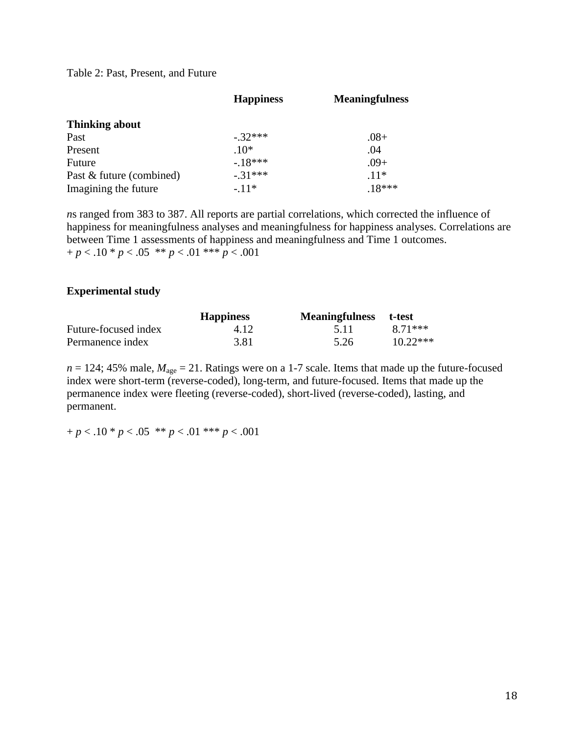# Table 2: Past, Present, and Future

|                          | <b>Happiness</b> | <b>Meaningfulness</b> |
|--------------------------|------------------|-----------------------|
| <b>Thinking about</b>    |                  |                       |
| Past                     | $-.32***$        | $.08+$                |
| Present                  | $.10*$           | .04                   |
| Future                   | $-18***$         | $.09+$                |
| Past & future (combined) | $-.31***$        | $.11*$                |
| Imagining the future     | $-11*$           | $.18***$              |

*n*s ranged from 383 to 387. All reports are partial correlations, which corrected the influence of happiness for meaningfulness analyses and meaningfulness for happiness analyses. Correlations are between Time 1 assessments of happiness and meaningfulness and Time 1 outcomes.  $+p < .10 * p < .05 * p < .01 * * p < .01$ 

# **Experimental study**

|                      | <b>Happiness</b> | <b>Meaningfulness</b> | t-test     |
|----------------------|------------------|-----------------------|------------|
| Future-focused index | 4.12             | 5.11                  | 8.71***    |
| Permanence index     | 3.81             | 5.26                  | $10.22***$ |

 $n = 124$ ; 45% male,  $M_{\text{age}} = 21$ . Ratings were on a 1-7 scale. Items that made up the future-focused index were short-term (reverse-coded), long-term, and future-focused. Items that made up the permanence index were fleeting (reverse-coded), short-lived (reverse-coded), lasting, and permanent.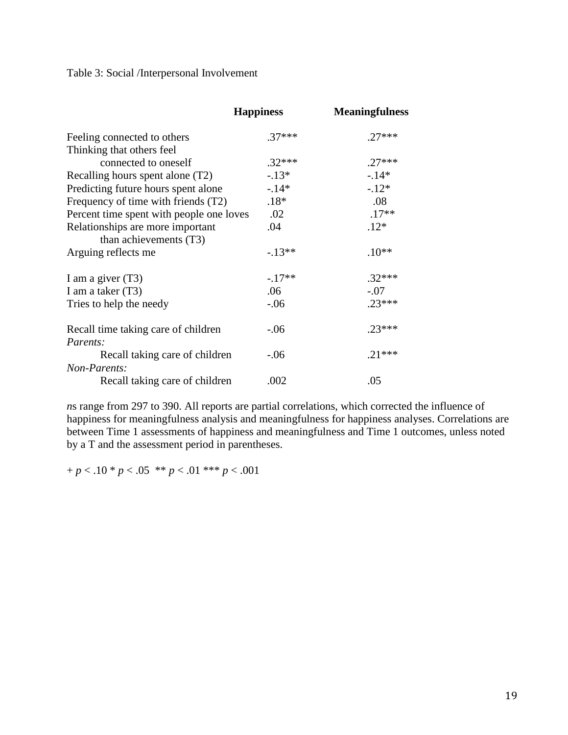Table 3: Social /Interpersonal Involvement

|                                          | <b>Happiness</b> | <b>Meaningfulness</b> |
|------------------------------------------|------------------|-----------------------|
| Feeling connected to others              | $37***$          | $.27***$              |
| Thinking that others feel                |                  |                       |
| connected to oneself                     | $.32***$         | $.27***$              |
| Recalling hours spent alone (T2)         | $-13*$           | $-14*$                |
| Predicting future hours spent alone      | $-.14*$          | $-12*$                |
| Frequency of time with friends (T2)      | $.18*$           | .08                   |
| Percent time spent with people one loves | .02              | $.17**$               |
| Relationships are more important         | .04              | $.12*$                |
| than achievements (T3)                   |                  |                       |
| Arguing reflects me                      | $-13**$          | $.10**$               |
| I am a giver $(T3)$                      | $-.17**$         | $.32***$              |
| I am a taker (T3)                        | .06              | $-.07$                |
| Tries to help the needy                  | $-.06$           | $.23***$              |
| Recall time taking care of children      | $-.06$           | $.23***$              |
| <i>Parents:</i>                          |                  |                       |
| Recall taking care of children           | $-.06$           | $.21***$              |
| Non-Parents:                             |                  |                       |
| Recall taking care of children           | .002             | .05                   |

*n*s range from 297 to 390. All reports are partial correlations, which corrected the influence of happiness for meaningfulness analysis and meaningfulness for happiness analyses. Correlations are between Time 1 assessments of happiness and meaningfulness and Time 1 outcomes, unless noted by a T and the assessment period in parentheses.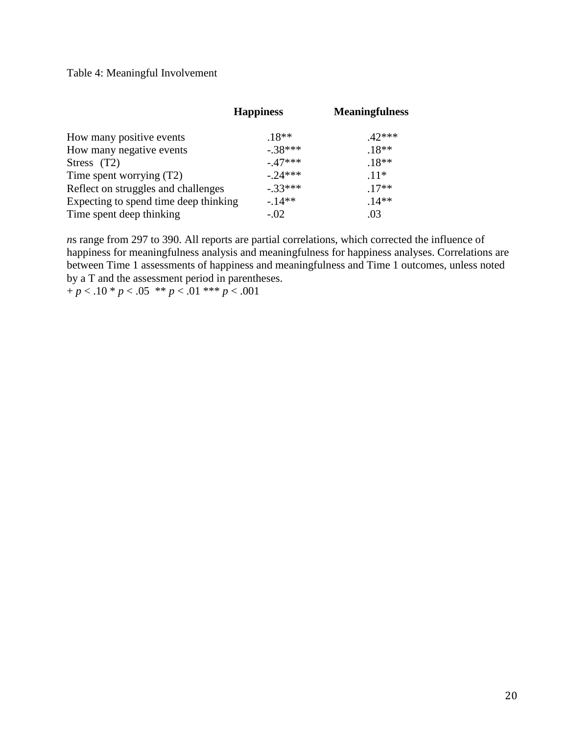Table 4: Meaningful Involvement

|                                       | <b>Happiness</b> | <b>Meaningfulness</b> |  |
|---------------------------------------|------------------|-----------------------|--|
| How many positive events              | $.18**$          | $.42***$              |  |
| How many negative events              | $-.38***$        | $.18**$               |  |
| Stress $(T2)$                         | $-.47***$        | $.18**$               |  |
| Time spent worrying (T2)              | $-.24***$        | $11*$                 |  |
| Reflect on struggles and challenges   | $-.33***$        | $.17**$               |  |
| Expecting to spend time deep thinking | $-14**$          | $.14**$               |  |
| Time spent deep thinking              | $-.02$           | .03                   |  |

*n*s range from 297 to 390. All reports are partial correlations, which corrected the influence of happiness for meaningfulness analysis and meaningfulness for happiness analyses. Correlations are between Time 1 assessments of happiness and meaningfulness and Time 1 outcomes, unless noted by a T and the assessment period in parentheses.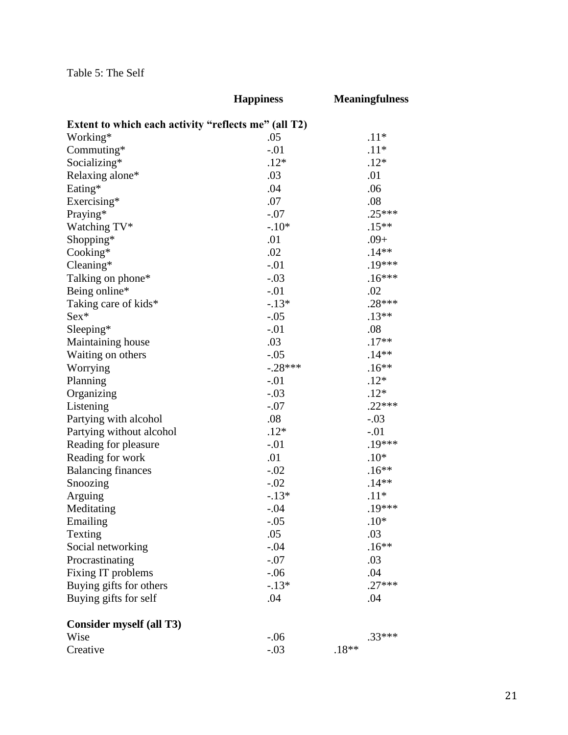|                                                      | <b>Happiness</b> | <b>Meaningfulness</b> |  |
|------------------------------------------------------|------------------|-----------------------|--|
| Extent to which each activity "reflects me" (all T2) |                  |                       |  |
| Working*                                             | .05              | $.11*$                |  |
| Commuting $*$                                        | $-.01$           | $.11*$                |  |
| Socializing*                                         | $.12*$           | $.12*$                |  |
| Relaxing alone*                                      | .03              | .01                   |  |
| Eating*                                              | .04              | .06                   |  |
| $Exercising*$                                        | .07              | .08                   |  |
| Praying*                                             | $-.07$           | $.25***$              |  |
| Watching TV*                                         | $-.10*$          | $.15**$               |  |
| Shopping*                                            | .01              | $.09+$                |  |
| Cooking*                                             | .02              | $.14**$               |  |
| Cleaning*                                            | $-.01$           | .19***                |  |
| Talking on phone*                                    | $-.03$           | $.16***$              |  |
| Being online*                                        | $-.01$           | .02                   |  |
| Taking care of kids*                                 | $-.13*$          | $.28***$              |  |
| $Sex*$                                               | $-.05$           | $.13**$               |  |
| Sleeping*                                            | $-.01$           | .08                   |  |
| Maintaining house                                    | .03              | $.17**$               |  |
| Waiting on others                                    | $-.05$           | $.14**$               |  |
| Worrying                                             | $-.28***$        | $.16**$               |  |
| Planning                                             | $-.01$           | $.12*$                |  |
| Organizing                                           | $-.03$           | $.12*$                |  |
| Listening                                            | $-.07$           | $.22***$              |  |
| Partying with alcohol                                | .08              | $-.03$                |  |
| Partying without alcohol                             | $.12*$           | $-.01$                |  |
| Reading for pleasure                                 | $-.01$           | .19***                |  |
| Reading for work                                     | .01              | $.10*$                |  |
| <b>Balancing finances</b>                            | $-.02$           | $.16**$               |  |
| Snoozing                                             | $-.02$           | $.14**$               |  |
| Arguing                                              | $-.13*$          | $.11*$                |  |
| Meditating                                           | $-.04$           | .19***                |  |
| Emailing                                             | $-.05$           | $.10*$                |  |
| Texting                                              | .05              | .03                   |  |
| Social networking                                    | $-.04$           | $.16**$               |  |
| Procrastinating                                      | $-.07$           | .03                   |  |
| Fixing IT problems                                   | $-.06$           | .04                   |  |
| Buying gifts for others                              | $-.13*$          | $.27***$              |  |
| Buying gifts for self                                | .04              | .04                   |  |
|                                                      |                  |                       |  |
| <b>Consider myself (all T3)</b>                      |                  |                       |  |
| Wise                                                 | $-.06$           | $.33***$              |  |
| Creative                                             | $-.03$           | $.18**$               |  |